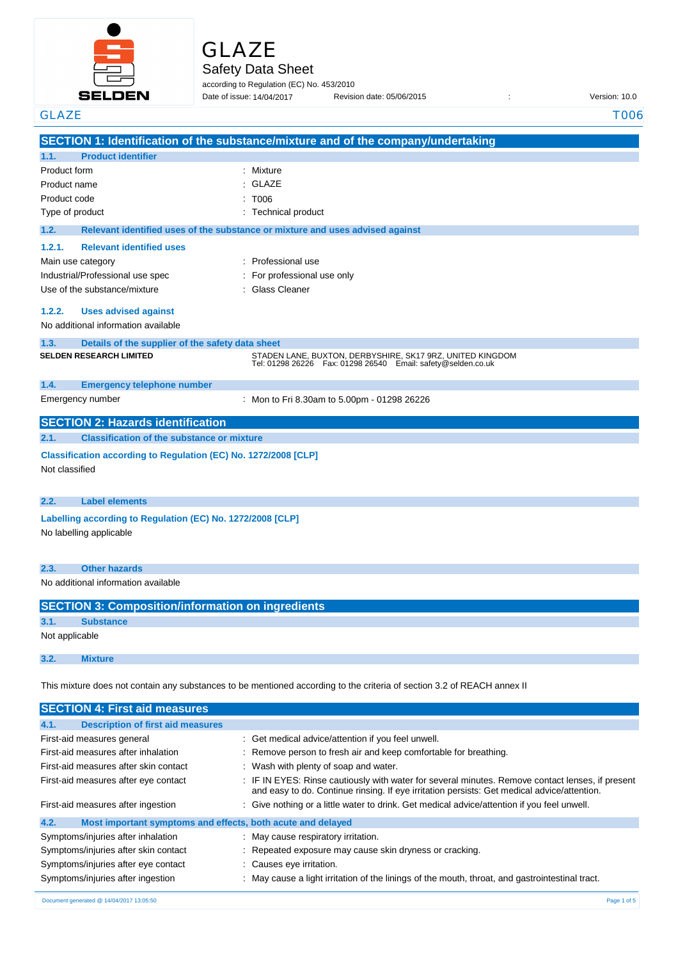

| ۰. |  |  |
|----|--|--|
|    |  |  |

Safety Data Sheet

**SECTION 1: Identification of the substance/mixture and of the company/undertaking**

according to Regulation (EC) No. 453/2010 Date of issue: Revision date: 05/06/2015 : Version: 10.0 Date of issue: 14/04/2017

GLAZE T006

Product name : Product code :

Not classified

Not applicable

**1.1. Product identifier**

Product form : Nixture : Mixture

Type of product in the contract of the contract of the Technical product **1.2. Relevant identified uses of the substance or mixture and uses advised against 1.2.1. Relevant identified uses**  Main use category **intervalled** and the category of the category of the category of the category of the category Industrial/Professional use spec : For professional use only Use of the substance/mixture **in the substance/mixture** in Glass Cleaner **1.2.2. Uses advised against** No additional information available **1.3. Details of the supplier of the safety data sheet 1.4. Emergency telephone number** Emergency number : **SECTION 2: Hazards identification 2.1. Classification of the substance or mixture Classification according to Regulation (EC) No. 1272/2008 [CLP] 2.2. Label elements Labelling according to Regulation (EC) No. 1272/2008 [CLP]** No labelling applicable **2.3. Other hazards** No additional information available **SECTION 3: Composition/information on ingredients 3.1. Substance 3.2. Mixture** GLAZE : T006 **SELDEN RESEARCH LIMITED** STADEN LANE, BUXTON, DERBYSHIRE, SK17 9RZ, UNITED KINGDOM Tel: 01298 26226 Fax: 01298 26540 Email: safety@selden.co.uk Mon to Fri 8.30am to 5.00pm - 01298 26226

This mixture does not contain any substances to be mentioned according to the criteria of section 3.2 of REACH annex II

| <b>SECTION 4: First aid measures</b>                                |                                                                                                                                                                                                 |
|---------------------------------------------------------------------|-------------------------------------------------------------------------------------------------------------------------------------------------------------------------------------------------|
| 4.1.<br><b>Description of first aid measures</b>                    |                                                                                                                                                                                                 |
| First-aid measures general                                          | : Get medical advice/attention if you feel unwell.                                                                                                                                              |
| First-aid measures after inhalation                                 | : Remove person to fresh air and keep comfortable for breathing.                                                                                                                                |
| First-aid measures after skin contact                               | : Wash with plenty of soap and water.                                                                                                                                                           |
| First-aid measures after eye contact                                | : IF IN EYES: Rinse cautiously with water for several minutes. Remove contact lenses, if present<br>and easy to do. Continue rinsing. If eye irritation persists: Get medical advice/attention. |
| First-aid measures after ingestion                                  | : Give nothing or a little water to drink. Get medical advice/attention if you feel unwell.                                                                                                     |
| 4.2.<br>Most important symptoms and effects, both acute and delayed |                                                                                                                                                                                                 |
| Symptoms/injuries after inhalation                                  | : May cause respiratory irritation.                                                                                                                                                             |
| Symptoms/injuries after skin contact                                | : Repeated exposure may cause skin dryness or cracking.                                                                                                                                         |
| Symptoms/injuries after eye contact                                 | : Causes eye irritation.                                                                                                                                                                        |
| Symptoms/injuries after ingestion                                   | : May cause a light irritation of the linings of the mouth, throat, and gastrointestinal tract.                                                                                                 |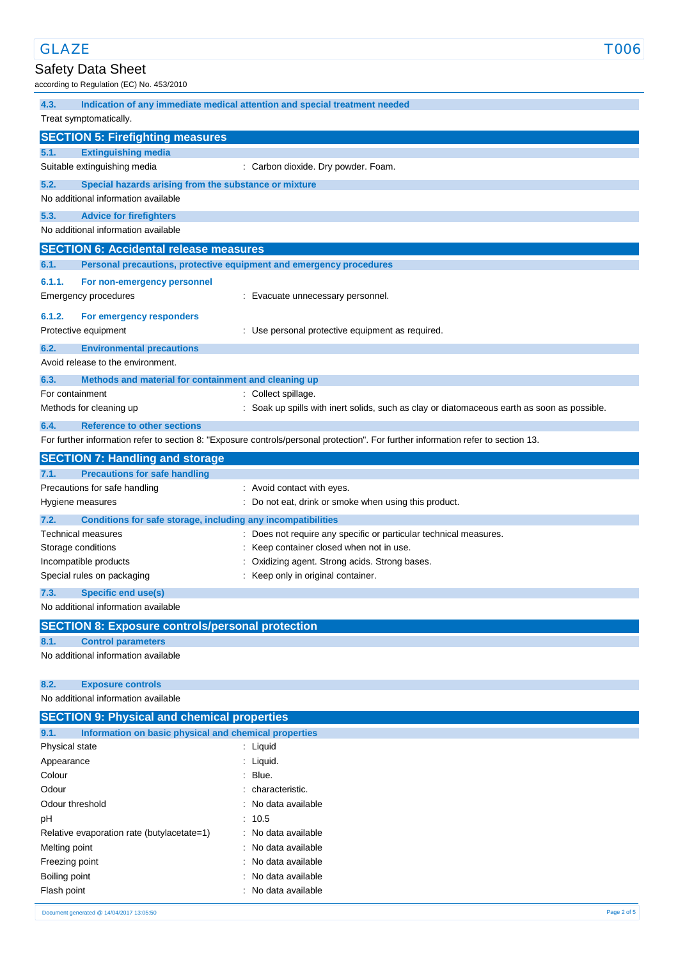# Safety Data Sheet

according to Regulation (EC) No. 453/2010

| 4.3.                         | Indication of any immediate medical attention and special treatment needed |                                                                                                                                   |  |  |  |
|------------------------------|----------------------------------------------------------------------------|-----------------------------------------------------------------------------------------------------------------------------------|--|--|--|
|                              | Treat symptomatically.                                                     |                                                                                                                                   |  |  |  |
|                              | <b>SECTION 5: Firefighting measures</b>                                    |                                                                                                                                   |  |  |  |
| 5.1.                         | <b>Extinguishing media</b>                                                 |                                                                                                                                   |  |  |  |
|                              | Suitable extinguishing media                                               | : Carbon dioxide. Dry powder. Foam.                                                                                               |  |  |  |
| 5.2.                         | Special hazards arising from the substance or mixture                      |                                                                                                                                   |  |  |  |
|                              | No additional information available                                        |                                                                                                                                   |  |  |  |
| 5.3.                         | <b>Advice for firefighters</b><br>No additional information available      |                                                                                                                                   |  |  |  |
|                              |                                                                            |                                                                                                                                   |  |  |  |
|                              | <b>SECTION 6: Accidental release measures</b>                              |                                                                                                                                   |  |  |  |
| 6.1.                         |                                                                            | Personal precautions, protective equipment and emergency procedures                                                               |  |  |  |
| 6.1.1.                       | For non-emergency personnel                                                |                                                                                                                                   |  |  |  |
|                              | Emergency procedures                                                       | : Evacuate unnecessary personnel.                                                                                                 |  |  |  |
| 6.1.2.                       | For emergency responders                                                   |                                                                                                                                   |  |  |  |
|                              | Protective equipment                                                       | : Use personal protective equipment as required.                                                                                  |  |  |  |
| 6.2.                         | <b>Environmental precautions</b>                                           |                                                                                                                                   |  |  |  |
|                              | Avoid release to the environment.                                          |                                                                                                                                   |  |  |  |
| 6.3.                         | Methods and material for containment and cleaning up                       |                                                                                                                                   |  |  |  |
|                              | For containment                                                            | : Collect spillage.                                                                                                               |  |  |  |
|                              | Methods for cleaning up                                                    | : Soak up spills with inert solids, such as clay or diatomaceous earth as soon as possible.                                       |  |  |  |
| 6.4.                         | <b>Reference to other sections</b>                                         |                                                                                                                                   |  |  |  |
|                              |                                                                            | For further information refer to section 8: "Exposure controls/personal protection". For further information refer to section 13. |  |  |  |
|                              | <b>SECTION 7: Handling and storage</b>                                     |                                                                                                                                   |  |  |  |
| 7.1.                         | <b>Precautions for safe handling</b><br>Precautions for safe handling      | : Avoid contact with eyes.                                                                                                        |  |  |  |
|                              | Hygiene measures                                                           | : Do not eat, drink or smoke when using this product.                                                                             |  |  |  |
| 7.2.                         | Conditions for safe storage, including any incompatibilities               |                                                                                                                                   |  |  |  |
|                              | <b>Technical measures</b>                                                  | Does not require any specific or particular technical measures.                                                                   |  |  |  |
|                              | Storage conditions                                                         | Keep container closed when not in use.                                                                                            |  |  |  |
|                              | Incompatible products                                                      | Oxidizing agent. Strong acids. Strong bases.                                                                                      |  |  |  |
|                              | Special rules on packaging                                                 | : Keep only in original container.                                                                                                |  |  |  |
| 7.3.                         | Specific end use(s)                                                        |                                                                                                                                   |  |  |  |
|                              | No additional information available                                        |                                                                                                                                   |  |  |  |
|                              | <b>SECTION 8: Exposure controls/personal protection</b>                    |                                                                                                                                   |  |  |  |
| 8.1.                         | <b>Control parameters</b>                                                  |                                                                                                                                   |  |  |  |
|                              | No additional information available                                        |                                                                                                                                   |  |  |  |
|                              |                                                                            |                                                                                                                                   |  |  |  |
| 8.2.                         | <b>Exposure controls</b>                                                   |                                                                                                                                   |  |  |  |
|                              | No additional information available                                        |                                                                                                                                   |  |  |  |
|                              | <b>SECTION 9: Physical and chemical properties</b>                         |                                                                                                                                   |  |  |  |
| 9.1.                         | Information on basic physical and chemical properties                      |                                                                                                                                   |  |  |  |
| Physical state<br>Appearance |                                                                            | : Liquid<br>: Liquid.                                                                                                             |  |  |  |
| Colour                       |                                                                            | Blue.                                                                                                                             |  |  |  |
| Odour                        |                                                                            | characteristic.                                                                                                                   |  |  |  |
| Odour threshold              |                                                                            | No data available                                                                                                                 |  |  |  |
| рH                           |                                                                            | : 10.5                                                                                                                            |  |  |  |
|                              | Relative evaporation rate (butylacetate=1)                                 | : No data available                                                                                                               |  |  |  |
|                              |                                                                            | No data available                                                                                                                 |  |  |  |
| Melting point                |                                                                            |                                                                                                                                   |  |  |  |
| Freezing point               |                                                                            | No data available                                                                                                                 |  |  |  |
| Boiling point<br>Flash point |                                                                            | No data available<br>: No data available                                                                                          |  |  |  |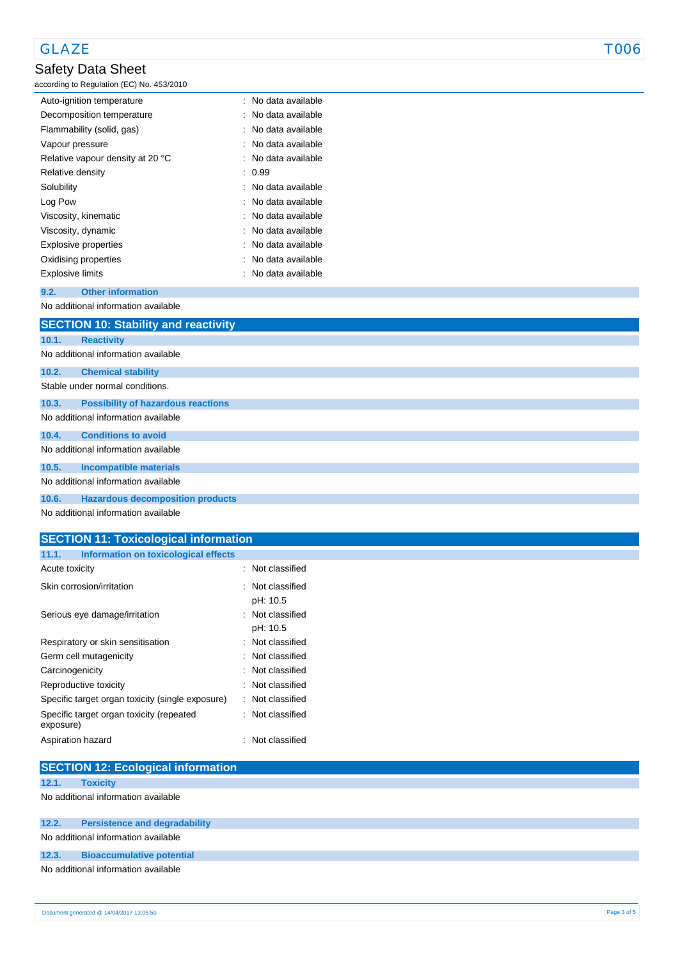## GLAZE TOOS

# Safety Data Sheet

according to Regulation (EC) No. 453/2010

| Auto-ignition temperature        | : No data available |
|----------------------------------|---------------------|
| Decomposition temperature        | : No data available |
| Flammability (solid, gas)        | No data available   |
| Vapour pressure                  | : No data available |
| Relative vapour density at 20 °C | : No data available |
| Relative density                 | : 0.99              |
| Solubility                       | : No data available |
| Log Pow                          | : No data available |
| Viscosity, kinematic             | : No data available |
| Viscosity, dynamic               | No data available   |
| Explosive properties             | : No data available |
| Oxidising properties             | No data available   |
| Explosive limits                 | : No data available |

#### **9.2. Other information** No additional information available

|       | <b>SECTION 10: Stability and reactivity</b> |
|-------|---------------------------------------------|
| 10.1. | <b>Reactivity</b>                           |
|       | No additional information available         |
| 10.2. | <b>Chemical stability</b>                   |
|       | Stable under normal conditions.             |
| 10.3. | <b>Possibility of hazardous reactions</b>   |
|       | No additional information available         |
| 10.4. | <b>Conditions to avoid</b>                  |
|       | No additional information available         |
| 10.5. | <b>Incompatible materials</b>               |
|       | No additional information available         |
| 10.6. | <b>Hazardous decomposition products</b>     |
|       | No additional information available         |

### **SECTION 11: Toxicological information**

| : Not classified |
|------------------|
| : Not classified |
| pH: 10.5         |
| Not classified   |
| pH: 10.5         |
| Not classified   |
| Not classified   |
| : Not classified |
| Not classified   |
| : Not classified |
| : Not classified |
| : Not classified |
|                  |

|       | <b>SECTION 12: Ecological information</b> |
|-------|-------------------------------------------|
| 12.1. | <b>Toxicity</b>                           |
|       | No additional information available       |
| 12.2. | <b>Persistence and degradability</b>      |
|       | No additional information available       |
| 12.3. | <b>Bioaccumulative potential</b>          |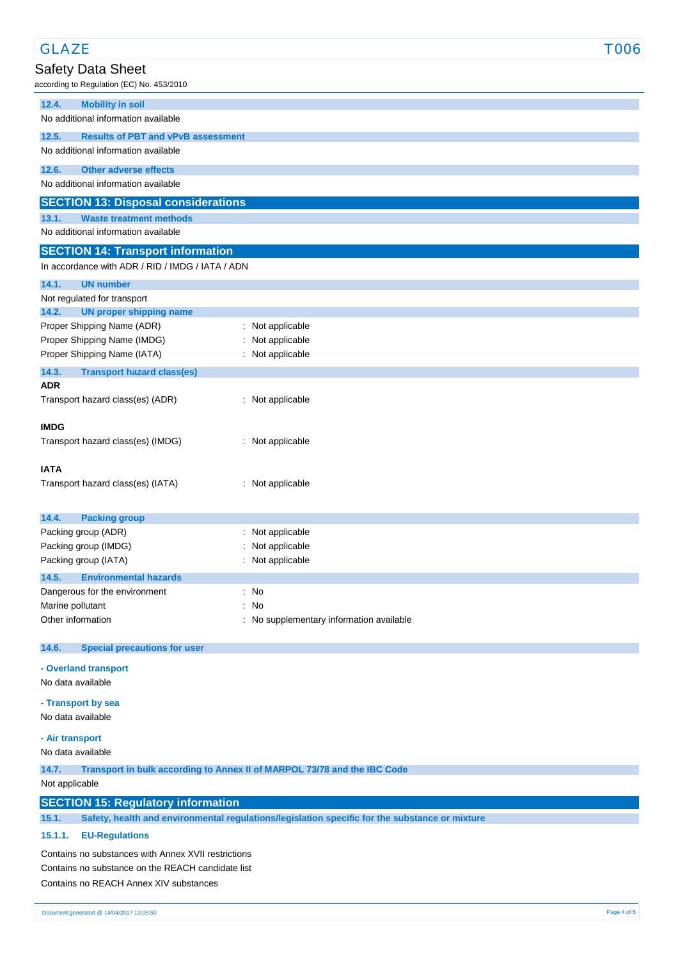| <b>GLAZE</b>                                              |                                                                                                | <b>T006</b> |
|-----------------------------------------------------------|------------------------------------------------------------------------------------------------|-------------|
| <b>Safety Data Sheet</b>                                  |                                                                                                |             |
| according to Regulation (EC) No. 453/2010                 |                                                                                                |             |
| <b>Mobility in soil</b><br>12.4.                          |                                                                                                |             |
| No additional information available                       |                                                                                                |             |
| 12.5.<br><b>Results of PBT and vPvB assessment</b>        |                                                                                                |             |
| No additional information available                       |                                                                                                |             |
| 12.6.<br><b>Other adverse effects</b>                     |                                                                                                |             |
| No additional information available                       |                                                                                                |             |
| <b>SECTION 13: Disposal considerations</b>                |                                                                                                |             |
| <b>Waste treatment methods</b><br>13.1.                   |                                                                                                |             |
| No additional information available                       |                                                                                                |             |
| <b>SECTION 14: Transport information</b>                  |                                                                                                |             |
| In accordance with ADR / RID / IMDG / IATA / ADN          |                                                                                                |             |
| 14.1.<br><b>UN number</b>                                 |                                                                                                |             |
| Not regulated for transport                               |                                                                                                |             |
| 14.2.<br><b>UN proper shipping name</b>                   |                                                                                                |             |
| Proper Shipping Name (ADR)<br>Proper Shipping Name (IMDG) | : Not applicable<br>: Not applicable                                                           |             |
| Proper Shipping Name (IATA)                               | : Not applicable                                                                               |             |
| 14.3.<br><b>Transport hazard class(es)</b>                |                                                                                                |             |
| <b>ADR</b>                                                |                                                                                                |             |
| Transport hazard class(es) (ADR)                          | : Not applicable                                                                               |             |
|                                                           |                                                                                                |             |
| <b>IMDG</b>                                               |                                                                                                |             |
| Transport hazard class(es) (IMDG)                         | : Not applicable                                                                               |             |
| <b>IATA</b>                                               |                                                                                                |             |
| Transport hazard class(es) (IATA)                         | : Not applicable                                                                               |             |
|                                                           |                                                                                                |             |
| 14.4.<br><b>Packing group</b>                             |                                                                                                |             |
| Packing group (ADR)                                       | : Not applicable                                                                               |             |
| Packing group (IMDG)                                      | Not applicable                                                                                 |             |
| Packing group (IATA)                                      | : Not applicable                                                                               |             |
| 14.5.<br><b>Environmental hazards</b>                     |                                                                                                |             |
| Dangerous for the environment<br>Marine pollutant         | : No<br>: No                                                                                   |             |
| Other information                                         | : No supplementary information available                                                       |             |
|                                                           |                                                                                                |             |
| 14.6.<br><b>Special precautions for user</b>              |                                                                                                |             |
| - Overland transport                                      |                                                                                                |             |
| No data available                                         |                                                                                                |             |
| - Transport by sea                                        |                                                                                                |             |
| No data available                                         |                                                                                                |             |
| - Air transport                                           |                                                                                                |             |
| No data available                                         |                                                                                                |             |
| 14.7.                                                     | Transport in bulk according to Annex II of MARPOL 73/78 and the IBC Code                       |             |
| Not applicable                                            |                                                                                                |             |
| <b>SECTION 15: Regulatory information</b>                 |                                                                                                |             |
| 15.1.                                                     | Safety, health and environmental regulations/legislation specific for the substance or mixture |             |
| 15.1.1.<br><b>EU-Regulations</b>                          |                                                                                                |             |
| Contains no substances with Annex XVII restrictions       |                                                                                                |             |
| Contains no substance on the REACH candidate list         |                                                                                                |             |
| Contains no REACH Annex XIV substances                    |                                                                                                |             |